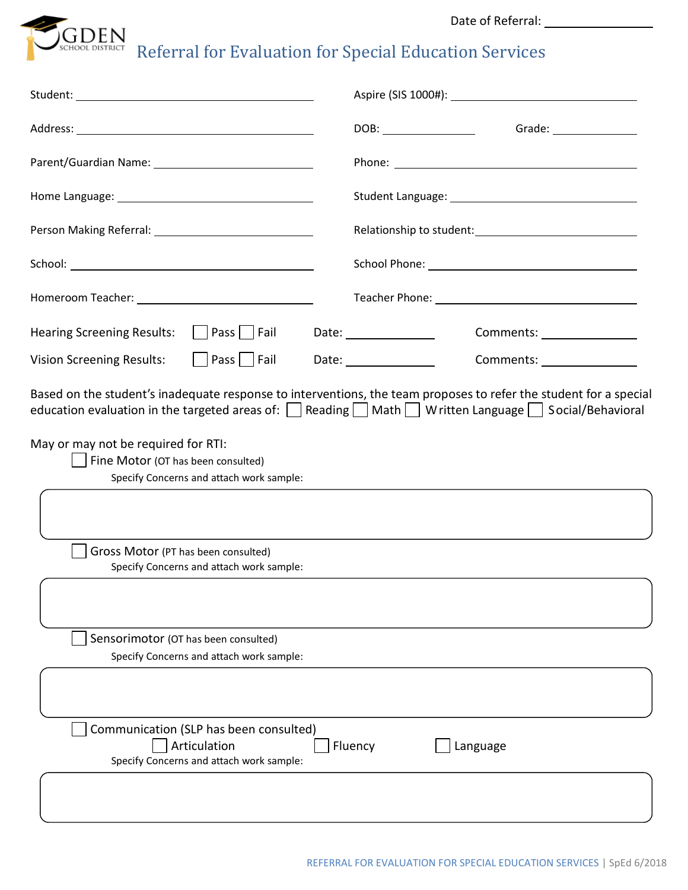Date of Referral:



 $\int_{SCHOOL DISTRICT} \overline{R}$  Referral for Evaluation for Special Education Services

|                                                                                                                                                                                                          | Grade: $\_$           |
|----------------------------------------------------------------------------------------------------------------------------------------------------------------------------------------------------------|-----------------------|
| Parent/Guardian Name: 1997 1997 1998                                                                                                                                                                     |                       |
|                                                                                                                                                                                                          |                       |
|                                                                                                                                                                                                          |                       |
|                                                                                                                                                                                                          |                       |
|                                                                                                                                                                                                          |                       |
| <b>Hearing Screening Results:</b><br>    Pass     Fail                                                                                                                                                   | Date: $\qquad \qquad$ |
| <b>Vision Screening Results:</b><br>    Pass     Fail                                                                                                                                                    | Date: _______________ |
| May or may not be required for RTI:<br>Fine Motor (OT has been consulted)<br>Specify Concerns and attach work sample:<br>Gross Motor (PT has been consulted)<br>Specify Concerns and attach work sample: |                       |
|                                                                                                                                                                                                          |                       |
| Sensorimotor (OT has been consulted)<br>Specify Concerns and attach work sample:                                                                                                                         |                       |
| Communication (SLP has been consulted)<br>Articulation<br>Specify Concerns and attach work sample:                                                                                                       | Fluency<br>Language   |
|                                                                                                                                                                                                          |                       |